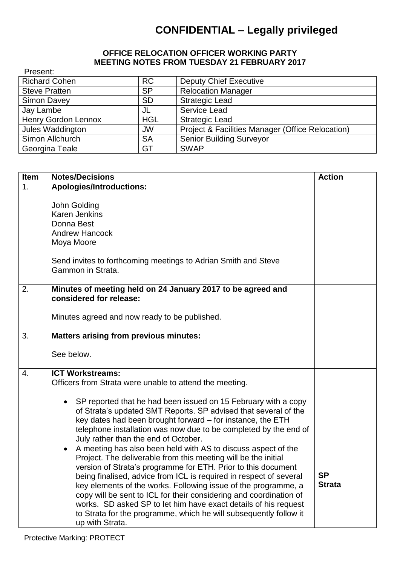## **CONFIDENTIAL – Legally privileged**

## **OFFICE RELOCATION OFFICER WORKING PARTY MEETING NOTES FROM TUESDAY 21 FEBRUARY 2017**

| Present:                   |            |                                                  |
|----------------------------|------------|--------------------------------------------------|
| <b>Richard Cohen</b>       | <b>RC</b>  | <b>Deputy Chief Executive</b>                    |
| <b>Steve Pratten</b>       | <b>SP</b>  | <b>Relocation Manager</b>                        |
| Simon Davey                | <b>SD</b>  | <b>Strategic Lead</b>                            |
| Jay Lambe                  | JL         | Service Lead                                     |
| <b>Henry Gordon Lennox</b> | <b>HGL</b> | <b>Strategic Lead</b>                            |
| Jules Waddington           | <b>JW</b>  | Project & Facilities Manager (Office Relocation) |
| Simon Allchurch            | <b>SA</b>  | <b>Senior Building Surveyor</b>                  |
| Georgina Teale             | GT         | <b>SWAP</b>                                      |

| <b>Item</b>      | <b>Notes/Decisions</b>                                                                                                                                                                                                                                                                                                                                                                                                                                                                                                                                                                                                                                                                                                                                                                                                                                                                     | <b>Action</b>              |
|------------------|--------------------------------------------------------------------------------------------------------------------------------------------------------------------------------------------------------------------------------------------------------------------------------------------------------------------------------------------------------------------------------------------------------------------------------------------------------------------------------------------------------------------------------------------------------------------------------------------------------------------------------------------------------------------------------------------------------------------------------------------------------------------------------------------------------------------------------------------------------------------------------------------|----------------------------|
| 1.               | <b>Apologies/Introductions:</b>                                                                                                                                                                                                                                                                                                                                                                                                                                                                                                                                                                                                                                                                                                                                                                                                                                                            |                            |
|                  | John Golding<br><b>Karen Jenkins</b><br>Donna Best<br><b>Andrew Hancock</b><br>Moya Moore<br>Send invites to forthcoming meetings to Adrian Smith and Steve<br>Gammon in Strata.                                                                                                                                                                                                                                                                                                                                                                                                                                                                                                                                                                                                                                                                                                           |                            |
| 2.               | Minutes of meeting held on 24 January 2017 to be agreed and                                                                                                                                                                                                                                                                                                                                                                                                                                                                                                                                                                                                                                                                                                                                                                                                                                |                            |
|                  | considered for release:                                                                                                                                                                                                                                                                                                                                                                                                                                                                                                                                                                                                                                                                                                                                                                                                                                                                    |                            |
|                  | Minutes agreed and now ready to be published.                                                                                                                                                                                                                                                                                                                                                                                                                                                                                                                                                                                                                                                                                                                                                                                                                                              |                            |
| 3.               | <b>Matters arising from previous minutes:</b>                                                                                                                                                                                                                                                                                                                                                                                                                                                                                                                                                                                                                                                                                                                                                                                                                                              |                            |
|                  | See below.                                                                                                                                                                                                                                                                                                                                                                                                                                                                                                                                                                                                                                                                                                                                                                                                                                                                                 |                            |
| $\overline{4}$ . | <b>ICT Workstreams:</b><br>Officers from Strata were unable to attend the meeting.                                                                                                                                                                                                                                                                                                                                                                                                                                                                                                                                                                                                                                                                                                                                                                                                         |                            |
|                  | • SP reported that he had been issued on 15 February with a copy<br>of Strata's updated SMT Reports. SP advised that several of the<br>key dates had been brought forward - for instance, the ETH<br>telephone installation was now due to be completed by the end of<br>July rather than the end of October.<br>A meeting has also been held with AS to discuss aspect of the<br>Project. The deliverable from this meeting will be the initial<br>version of Strata's programme for ETH. Prior to this document<br>being finalised, advice from ICL is required in respect of several<br>key elements of the works. Following issue of the programme, a<br>copy will be sent to ICL for their considering and coordination of<br>works. SD asked SP to let him have exact details of his request<br>to Strata for the programme, which he will subsequently follow it<br>up with Strata. | <b>SP</b><br><b>Strata</b> |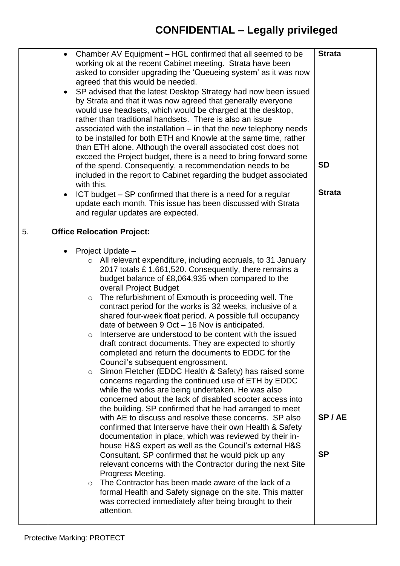| $\bullet$ | Chamber AV Equipment – HGL confirmed that all seemed to be<br>working ok at the recent Cabinet meeting. Strata have been<br>asked to consider upgrading the 'Queueing system' as it was now<br>agreed that this would be needed.<br>• SP advised that the latest Desktop Strategy had now been issued<br>by Strata and that it was now agreed that generally everyone<br>would use headsets, which would be charged at the desktop,<br>rather than traditional handsets. There is also an issue<br>associated with the installation - in that the new telephony needs<br>to be installed for both ETH and Knowle at the same time, rather<br>than ETH alone. Although the overall associated cost does not<br>exceed the Project budget, there is a need to bring forward some<br>of the spend. Consequently, a recommendation needs to be<br>included in the report to Cabinet regarding the budget associated<br>with this.<br>ICT budget – SP confirmed that there is a need for a regular<br>update each month. This issue has been discussed with Strata<br>and regular updates are expected.                                                                                                                                                                                                                                                                                                                                                                                                                                                                                                                                   | <b>Strata</b><br><b>SD</b><br><b>Strata</b> |
|-----------|--------------------------------------------------------------------------------------------------------------------------------------------------------------------------------------------------------------------------------------------------------------------------------------------------------------------------------------------------------------------------------------------------------------------------------------------------------------------------------------------------------------------------------------------------------------------------------------------------------------------------------------------------------------------------------------------------------------------------------------------------------------------------------------------------------------------------------------------------------------------------------------------------------------------------------------------------------------------------------------------------------------------------------------------------------------------------------------------------------------------------------------------------------------------------------------------------------------------------------------------------------------------------------------------------------------------------------------------------------------------------------------------------------------------------------------------------------------------------------------------------------------------------------------------------------------------------------------------------------------------------------------|---------------------------------------------|
| 5.        | <b>Office Relocation Project:</b><br>Project Update -<br>$\circ$ All relevant expenditure, including accruals, to 31 January<br>2017 totals £1,661,520. Consequently, there remains a<br>budget balance of £8,064,935 when compared to the<br>overall Project Budget<br>The refurbishment of Exmouth is proceeding well. The<br>$\circ$<br>contract period for the works is 32 weeks, inclusive of a<br>shared four-week float period. A possible full occupancy<br>date of between 9 Oct – 16 Nov is anticipated.<br>Interserve are understood to be content with the issued<br>draft contract documents. They are expected to shortly<br>completed and return the documents to EDDC for the<br>Council's subsequent engrossment.<br>Simon Fletcher (EDDC Health & Safety) has raised some<br>$\circ$<br>concerns regarding the continued use of ETH by EDDC<br>while the works are being undertaken. He was also<br>concerned about the lack of disabled scooter access into<br>the building. SP confirmed that he had arranged to meet<br>with AE to discuss and resolve these concerns. SP also<br>confirmed that Interserve have their own Health & Safety<br>documentation in place, which was reviewed by their in-<br>house H&S expert as well as the Council's external H&S<br>Consultant. SP confirmed that he would pick up any<br>relevant concerns with the Contractor during the next Site<br>Progress Meeting.<br>The Contractor has been made aware of the lack of a<br>$\circ$<br>formal Health and Safety signage on the site. This matter<br>was corrected immediately after being brought to their<br>attention. | SP/AE<br><b>SP</b>                          |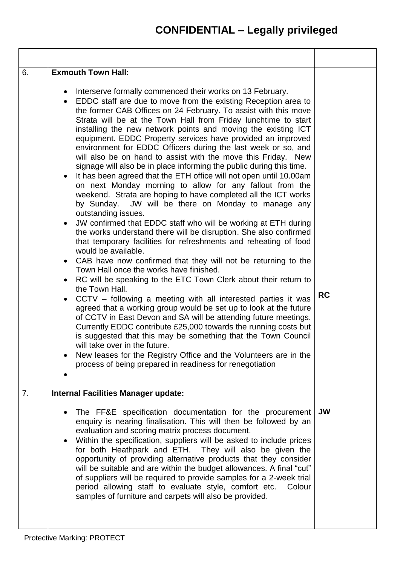| 6. | <b>Exmouth Town Hall:</b>                                                                                                                                                                                                                                                                                                                                                                                                                                                                                                                                                                                                                                                                                                                                                                                                                                                                                                                                                                                                                                                                                                                                                                                                                                                                                                                                                                                                                                                                                                                                                                                                                                                                                                                                                                                                                                                                           |           |
|----|-----------------------------------------------------------------------------------------------------------------------------------------------------------------------------------------------------------------------------------------------------------------------------------------------------------------------------------------------------------------------------------------------------------------------------------------------------------------------------------------------------------------------------------------------------------------------------------------------------------------------------------------------------------------------------------------------------------------------------------------------------------------------------------------------------------------------------------------------------------------------------------------------------------------------------------------------------------------------------------------------------------------------------------------------------------------------------------------------------------------------------------------------------------------------------------------------------------------------------------------------------------------------------------------------------------------------------------------------------------------------------------------------------------------------------------------------------------------------------------------------------------------------------------------------------------------------------------------------------------------------------------------------------------------------------------------------------------------------------------------------------------------------------------------------------------------------------------------------------------------------------------------------------|-----------|
|    | Interserve formally commenced their works on 13 February.<br>$\bullet$<br>EDDC staff are due to move from the existing Reception area to<br>$\bullet$<br>the former CAB Offices on 24 February. To assist with this move<br>Strata will be at the Town Hall from Friday lunchtime to start<br>installing the new network points and moving the existing ICT<br>equipment. EDDC Property services have provided an improved<br>environment for EDDC Officers during the last week or so, and<br>will also be on hand to assist with the move this Friday. New<br>signage will also be in place informing the public during this time.<br>It has been agreed that the ETH office will not open until 10.00am<br>on next Monday morning to allow for any fallout from the<br>weekend. Strata are hoping to have completed all the ICT works<br>by Sunday. JW will be there on Monday to manage any<br>outstanding issues.<br>JW confirmed that EDDC staff who will be working at ETH during<br>$\bullet$<br>the works understand there will be disruption. She also confirmed<br>that temporary facilities for refreshments and reheating of food<br>would be available.<br>• CAB have now confirmed that they will not be returning to the<br>Town Hall once the works have finished.<br>RC will be speaking to the ETC Town Clerk about their return to<br>$\bullet$<br>the Town Hall.<br>CCTV – following a meeting with all interested parties it was<br>agreed that a working group would be set up to look at the future<br>of CCTV in East Devon and SA will be attending future meetings.<br>Currently EDDC contribute £25,000 towards the running costs but<br>is suggested that this may be something that the Town Council<br>will take over in the future.<br>New leases for the Registry Office and the Volunteers are in the<br>process of being prepared in readiness for renegotiation | <b>RC</b> |
| 7. | <b>Internal Facilities Manager update:</b>                                                                                                                                                                                                                                                                                                                                                                                                                                                                                                                                                                                                                                                                                                                                                                                                                                                                                                                                                                                                                                                                                                                                                                                                                                                                                                                                                                                                                                                                                                                                                                                                                                                                                                                                                                                                                                                          |           |
|    | The FF&E specification documentation for the procurement<br>enquiry is nearing finalisation. This will then be followed by an<br>evaluation and scoring matrix process document.<br>Within the specification, suppliers will be asked to include prices<br>for both Heathpark and ETH. They will also be given the<br>opportunity of providing alternative products that they consider<br>will be suitable and are within the budget allowances. A final "cut"<br>of suppliers will be required to provide samples for a 2-week trial<br>period allowing staff to evaluate style, comfort etc.<br>Colour<br>samples of furniture and carpets will also be provided.                                                                                                                                                                                                                                                                                                                                                                                                                                                                                                                                                                                                                                                                                                                                                                                                                                                                                                                                                                                                                                                                                                                                                                                                                                 | <b>JW</b> |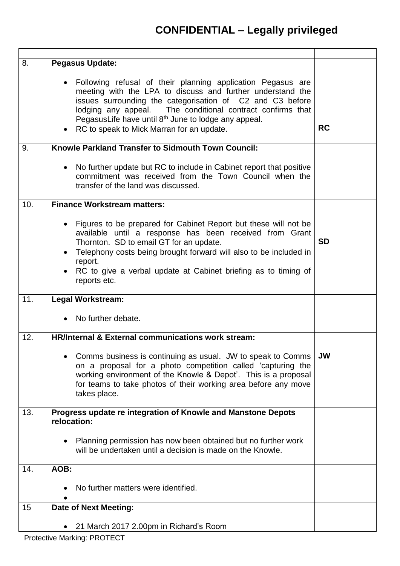| 8.  | <b>Pegasus Update:</b>                                                                                                                                                                                                                                                                                                                                                    |           |
|-----|---------------------------------------------------------------------------------------------------------------------------------------------------------------------------------------------------------------------------------------------------------------------------------------------------------------------------------------------------------------------------|-----------|
|     | • Following refusal of their planning application Pegasus are<br>meeting with the LPA to discuss and further understand the<br>issues surrounding the categorisation of C2 and C3 before<br>lodging any appeal. The conditional contract confirms that<br>PegasusLife have until 8 <sup>th</sup> June to lodge any appeal.<br>• RC to speak to Mick Marran for an update. | <b>RC</b> |
| 9.  | Knowle Parkland Transfer to Sidmouth Town Council:                                                                                                                                                                                                                                                                                                                        |           |
|     | No further update but RC to include in Cabinet report that positive<br>$\bullet$<br>commitment was received from the Town Council when the<br>transfer of the land was discussed.                                                                                                                                                                                         |           |
| 10. | <b>Finance Workstream matters:</b>                                                                                                                                                                                                                                                                                                                                        |           |
|     | Figures to be prepared for Cabinet Report but these will not be<br>$\bullet$<br>available until a response has been received from Grant<br>Thornton. SD to email GT for an update.<br>• Telephony costs being brought forward will also to be included in<br>report.<br>RC to give a verbal update at Cabinet briefing as to timing of<br>reports etc.                    | <b>SD</b> |
| 11. | <b>Legal Workstream:</b>                                                                                                                                                                                                                                                                                                                                                  |           |
|     | No further debate.                                                                                                                                                                                                                                                                                                                                                        |           |
| 12. | <b>HR/Internal &amp; External communications work stream:</b>                                                                                                                                                                                                                                                                                                             |           |
|     | Comms business is continuing as usual. JW to speak to Comms<br>$\bullet$<br>on a proposal for a photo competition called 'capturing the<br>working environment of the Knowle & Depot'. This is a proposal<br>for teams to take photos of their working area before any move<br>takes place.                                                                               | <b>JW</b> |
| 13. | Progress update re integration of Knowle and Manstone Depots<br>relocation:                                                                                                                                                                                                                                                                                               |           |
|     | Planning permission has now been obtained but no further work<br>will be undertaken until a decision is made on the Knowle.                                                                                                                                                                                                                                               |           |
| 14. | AOB:                                                                                                                                                                                                                                                                                                                                                                      |           |
|     | No further matters were identified.                                                                                                                                                                                                                                                                                                                                       |           |
| 15  | <b>Date of Next Meeting:</b>                                                                                                                                                                                                                                                                                                                                              |           |
|     | 21 March 2017 2.00pm in Richard's Room                                                                                                                                                                                                                                                                                                                                    |           |